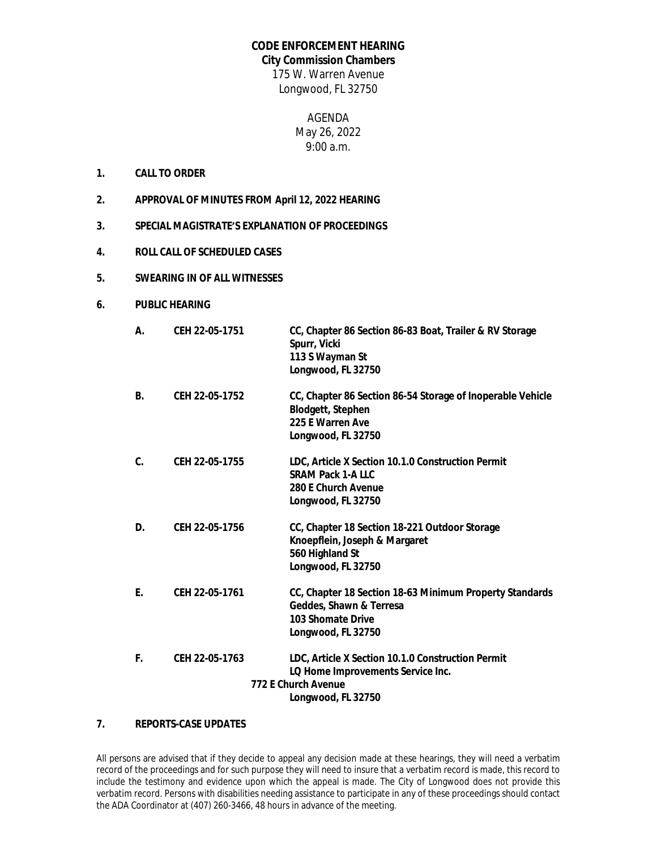## **CODE ENFORCEMENT HEARING**

## **City Commission Chambers**

175 W. Warren Avenue Longwood, FL 32750

> AGENDA May 26, 2022 9:00 a.m.

- **1. CALL TO ORDER**
- **2. APPROVAL OF MINUTES FROM April 12, 2022 HEARING**
- **3. SPECIAL MAGISTRATE'S EXPLANATION OF PROCEEDINGS**
- **4. ROLL CALL OF SCHEDULED CASES**
- **5. SWEARING IN OF ALL WITNESSES**
- **6. PUBLIC HEARING**

| А. | CEH 22-05-1751 | CC, Chapter 86 Section 86-83 Boat, Trailer & RV Storage<br>Spurr, Vicki<br>113 S Wayman St<br>Longwood, FL 32750                    |
|----|----------------|-------------------------------------------------------------------------------------------------------------------------------------|
| В. | CEH 22-05-1752 | CC, Chapter 86 Section 86-54 Storage of Inoperable Vehicle<br><b>Blodgett, Stephen</b><br>225 E Warren Ave<br>Longwood, FL 32750    |
| C. | CEH 22-05-1755 | LDC, Article X Section 10.1.0 Construction Permit<br><b>SRAM Pack 1-A LLC</b><br>280 E Church Avenue<br>Longwood, FL 32750          |
| D. | CEH 22-05-1756 | CC, Chapter 18 Section 18-221 Outdoor Storage<br>Knoepflein, Joseph & Margaret<br>560 Highland St<br>Longwood, FL 32750             |
| Ε. | CEH 22-05-1761 | CC, Chapter 18 Section 18-63 Minimum Property Standards<br>Geddes, Shawn & Terresa<br>103 Shomate Drive<br>Longwood, FL 32750       |
| F. | CEH 22-05-1763 | LDC, Article X Section 10.1.0 Construction Permit<br>LQ Home Improvements Service Inc.<br>772 E Church Avenue<br>Longwood, FL 32750 |

## **7. REPORTS-CASE UPDATES**

All persons are advised that if they decide to appeal any decision made at these hearings, they will need a verbatim record of the proceedings and for such purpose they will need to insure that a verbatim record is made, this record to include the testimony and evidence upon which the appeal is made. The City of Longwood does not provide this verbatim record. Persons with disabilities needing assistance to participate in any of these proceedings should contact the ADA Coordinator at (407) 260-3466, 48 hours in advance of the meeting.